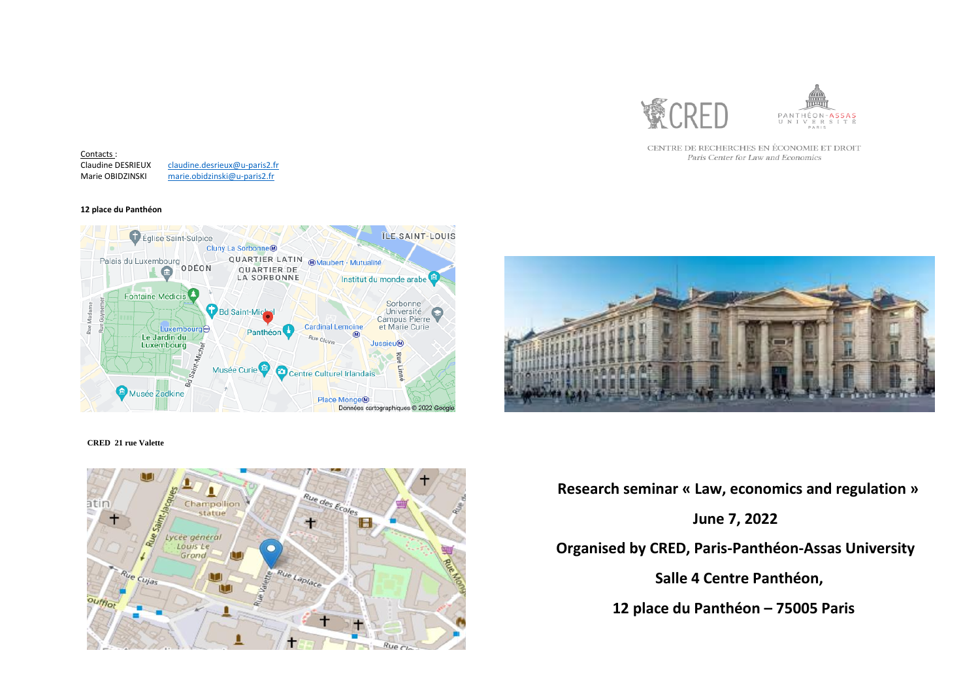

CENTRE DE RECHERCHES EN ÉCONOMIE ET DROIT Paris Center for Law and Economics

### **CRED 21 rue Valette**



 **Research seminar « Law, economics and regulation » June 7, 2022 Organised by CRED, Paris-Panthéon-Assas University Salle 4 Centre Panthéon,** 

Claudine DESRIEUX Contacts : [claudine.desrieux@u-paris2.fr](mailto:claudine.desrieux@u-paris2.fr) Marie OBIDZINSKI [marie.obidzinski@u-paris2.fr](mailto:marie.obidzinski@u-paris2.fr)

 **12 place du Panthéon – 75005 Paris**



### **12 place du Panthéon**